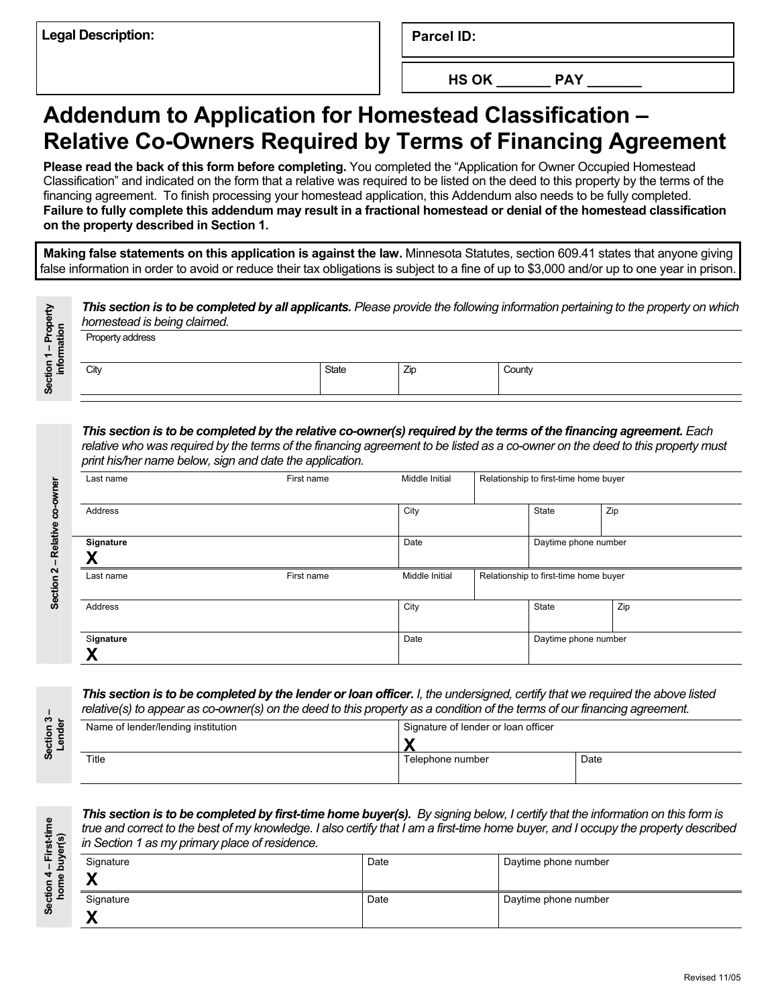**Parcel ID:** 

**HS OK \_\_\_\_\_\_\_ PAY \_\_\_\_\_\_\_** 

## **Addendum to Application for Homestead Classification – Relative Co-Owners Required by Terms of Financing Agreement**

**Please read the back of this form before completing.** You completed the "Application for Owner Occupied Homestead Classification" and indicated on the form that a relative was required to be listed on the deed to this property by the terms of the financing agreement. To finish processing your homestead application, this Addendum also needs to be fully completed. **Failure to fully complete this addendum may result in a fractional homestead or denial of the homestead classification on the property described in Section 1.** 

**Making false statements on this application is against the law.** Minnesota Statutes, section 609.41 states that anyone giving false information in order to avoid or reduce their tax obligations is subject to a fine of up to \$3,000 and/or up to one year in prison.

| Property<br>ation | This section is to be completed by all applicants. Please provide the following information pertaining to the property on which<br>homestead is being claimed. |       |     |        |  |  |  |
|-------------------|----------------------------------------------------------------------------------------------------------------------------------------------------------------|-------|-----|--------|--|--|--|
| Section           | Property address                                                                                                                                               |       |     |        |  |  |  |
|                   | City                                                                                                                                                           | State | Zip | County |  |  |  |
|                   |                                                                                                                                                                |       |     |        |  |  |  |

*This section is to be completed by the relative co-owner(s) required by the terms of the financing agreement. Each relative who was required by the terms of the financing agreement to be listed as a co-owner on the deed to this property must print his/her name below, sign and date the application.* 

| Last name      | First name | Middle Initial |  | Relationship to first-time home buyer |                      |  |
|----------------|------------|----------------|--|---------------------------------------|----------------------|--|
| Address        |            | City           |  | State                                 | Zip                  |  |
| Signature<br>w |            | Date           |  |                                       | Daytime phone number |  |
| Last name      | First name | Middle Initial |  | Relationship to first-time home buyer |                      |  |
| Address        |            | City           |  | State                                 | Zip                  |  |
| Signature<br>v |            | Date           |  | Daytime phone number                  |                      |  |

**Section 3 –**  Section 3 –<br>Lender

> **Section 4 – First-time home buyer(s)**

Section 4 – First-time<br>home buyer(s)

| This section is to be completed by the lender or loan officer. I, the undersigned, certify that we required the above listed |  |
|------------------------------------------------------------------------------------------------------------------------------|--|
| relative(s) to appear as co-owner(s) on the deed to this property as a condition of the terms of our financing agreement.    |  |

| Name of lender/lending institution | Signature of lender or loan officer |      |
|------------------------------------|-------------------------------------|------|
|                                    |                                     |      |
| Title                              | Telephone number                    | Date |
|                                    |                                     |      |

**This section is to be completed by first-time home buyer(s).** By signing below, I certify that the information on this form is *true and correct to the best of my knowledge. I also certify that I am a first-time home buyer, and I occupy the property described in Section 1 as my primary place of residence.*

| Signature<br>w<br>" | Date | Daytime phone number |
|---------------------|------|----------------------|
| Signature<br>M      | Date | Daytime phone number |

Section 2 - Relative co-owner **Section 2 – Relative co-owner**